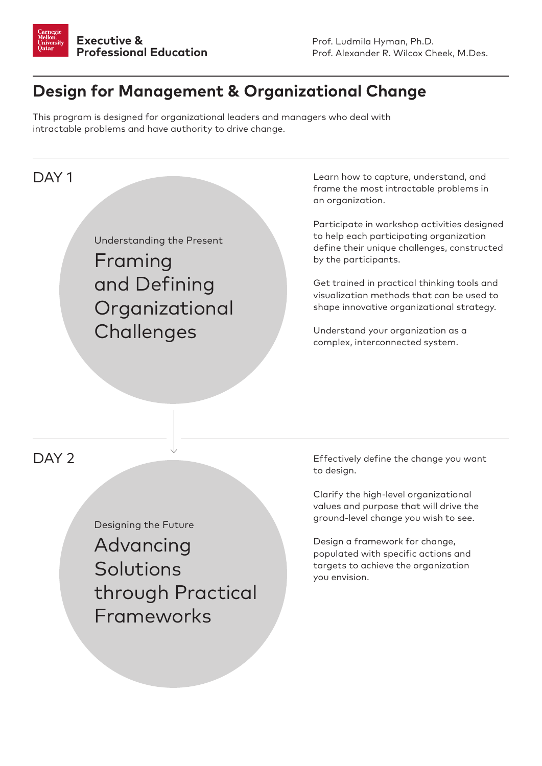

## **Design for Management & Organizational Change**

This program is designed for organizational leaders and managers who deal with intractable problems and have authority to drive change.

## DAY<sub>1</sub>

Understanding the Present

Framing and Defining **Organizational Challenges** 

Learn how to capture, understand, and frame the most intractable problems in an organization.

Participate in workshop activities designed to help each participating organization define their unique challenges, constructed by the participants.

Get trained in practical thinking tools and visualization methods that can be used to shape innovative organizational strategy.

Understand your organization as a complex, interconnected system.

## DAY<sub>2</sub>

Designing the Future Advancing Solutions through Practical Frameworks

Effectively define the change you want to design.

Clarify the high-level organizational values and purpose that will drive the ground-level change you wish to see.

Design a framework for change, populated with specific actions and targets to achieve the organization you envision.